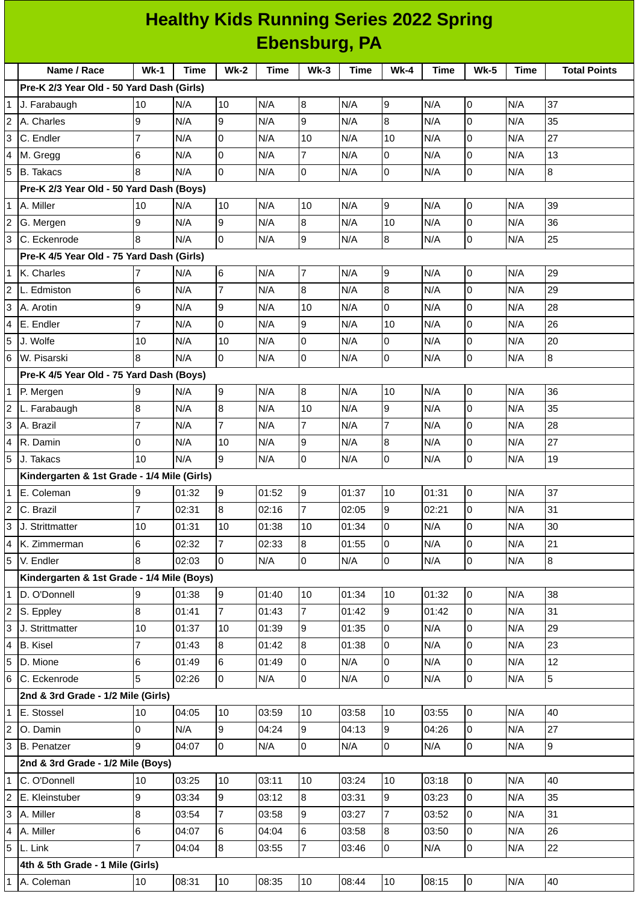## **Healthy Kids Running Series 2022 Spring Ebensburg, PA**

|                                           | Name / Race                                 | $Wk-1$         | <b>Time</b> | <b>Wk-2</b>     | <b>Time</b> | $Wk-3$         | Time  | $Wk-4$         | <b>Time</b> | <b>Wk-5</b>    | <b>Time</b> | <b>Total Points</b> |
|-------------------------------------------|---------------------------------------------|----------------|-------------|-----------------|-------------|----------------|-------|----------------|-------------|----------------|-------------|---------------------|
| Pre-K 2/3 Year Old - 50 Yard Dash (Girls) |                                             |                |             |                 |             |                |       |                |             |                |             |                     |
|                                           | J. Farabaugh                                | 10             | N/A         | 10              | N/A         | 8              | N/A   | 9              | N/A         | 0              | N/A         | 37                  |
| 2                                         | A. Charles                                  | 9              | N/A         | 9               | N/A         | 9              | N/A   | 8              | N/A         | 0              | N/A         | 35                  |
| 3                                         | C. Endler                                   | 7              | N/A         | $\mathbf 0$     | N/A         | 10             | N/A   | 10             | N/A         | $\Omega$       | N/A         | 27                  |
| 4                                         | M. Gregg                                    | 6              | N/A         | 0               | N/A         | $\overline{7}$ | N/A   | 0              | N/A         | 0              | N/A         | 13                  |
| 5                                         | <b>B.</b> Takacs                            | 8              | N/A         | $\mathsf{O}$    | N/A         | $\overline{0}$ | N/A   | $\overline{0}$ | N/A         | 0              | N/A         | $\overline{8}$      |
|                                           | Pre-K 2/3 Year Old - 50 Yard Dash (Boys)    |                |             |                 |             |                |       |                |             |                |             |                     |
| $\mathbf{1}$                              | A. Miller                                   | 10             | N/A         | 10              | N/A         | 10             | N/A   | 9              | N/A         | 0              | N/A         | 39                  |
| $\overline{c}$                            | G. Mergen                                   | 9              | N/A         | 9               | N/A         | 8              | N/A   | 10             | N/A         | $\overline{0}$ | N/A         | 36                  |
| 3                                         | C. Eckenrode                                | 8              | N/A         | 0               | N/A         | 9              | N/A   | 8              | N/A         | $\mathsf{O}$   | N/A         | 25                  |
|                                           | Pre-K 4/5 Year Old - 75 Yard Dash (Girls)   |                |             |                 |             |                |       |                |             |                |             |                     |
| $\mathbf{1}$                              | K. Charles                                  |                | N/A         | $6\phantom{.}6$ | N/A         | $\overline{7}$ | N/A   | 9              | N/A         | $\mathsf{O}$   | N/A         | 29                  |
| 2                                         | L. Edmiston                                 | 6              | N/A         | $\overline{7}$  | N/A         | $\overline{8}$ | N/A   | 8              | N/A         | 0              | N/A         | 29                  |
| 3                                         | A. Arotin                                   | 9              | N/A         | 9               | N/A         | 10             | N/A   | $\mathbf 0$    | N/A         | 0              | N/A         | 28                  |
| 4                                         | E. Endler                                   | 7              | N/A         | 0               | N/A         | 9              | N/A   | 10             | N/A         | 0              | N/A         | 26                  |
| 5                                         | J. Wolfe                                    | 10             | N/A         | 10              | N/A         | 0              | N/A   | 0              | N/A         | 0              | N/A         | 20                  |
| 6                                         | W. Pisarski                                 | 8              | N/A         | $\overline{0}$  | N/A         | $\overline{0}$ | N/A   | 0              | N/A         | 0              | N/A         | $\bf{8}$            |
|                                           | Pre-K 4/5 Year Old - 75 Yard Dash (Boys)    |                |             |                 |             |                |       |                |             |                |             |                     |
| 1                                         | P. Mergen                                   | 9              | N/A         | 9               | N/A         | $\overline{8}$ | N/A   | 10             | N/A         | 0              | N/A         | 36                  |
| $\overline{c}$                            | L. Farabaugh                                | 8              | N/A         | $\bf{8}$        | N/A         | 10             | N/A   | 9              | N/A         | $\Omega$       | N/A         | 35                  |
| 3                                         | A. Brazil                                   | 7              | N/A         | $\overline{7}$  | N/A         | $\overline{7}$ | N/A   | $\overline{7}$ | N/A         | 0              | N/A         | 28                  |
| 4                                         | R. Damin                                    | 0              | N/A         | 10              | N/A         | 9              | N/A   | 8              | N/A         | 0              | N/A         | 27                  |
| 5                                         | J. Takacs                                   | 10             | N/A         | 9               | N/A         | l0             | N/A   | 0              | N/A         | 0              | N/A         | 19                  |
|                                           | Kindergarten & 1st Grade - 1/4 Mile (Girls) |                |             |                 |             |                |       |                |             |                |             |                     |
| 1                                         | E. Coleman                                  | Ι9             | 01:32       | 9               | 01:52       | 9              | 01:37 | 10             | 01:31       | 0              | N/A         | 37                  |
| 2                                         | C. Brazil                                   | 7              | 02:31       | 8               | 02:16       | $\overline{7}$ | 02:05 | 9              | 02:21       | 0              | N/A         | 31                  |
| 3                                         | J. Strittmatter                             | 10             | 01:31       | 10              | 01:38       | 10             | 01:34 | l0             | N/A         | $\overline{0}$ | N/A         | 30                  |
| 4                                         | K. Zimmerman                                | 6              | 02:32       | $\overline{7}$  | 02:33       | 8              | 01:55 | 0              | N/A         | 0              | N/A         | 21                  |
| 5                                         | V. Endler                                   | 8              | 02:03       | 0               | N/A         | O              | N/A   | $\overline{0}$ | N/A         | $\overline{0}$ | N/A         | 8                   |
|                                           | Kindergarten & 1st Grade - 1/4 Mile (Boys)  |                |             |                 |             |                |       |                |             |                |             |                     |
| $\mathbf{1}$                              | D. O'Donnell                                | 9              | 01:38       | 9               | 01:40       | 10             | 01:34 | 10             | 01:32       | 0              | N/A         | 38                  |
| 2                                         | S. Eppley                                   | 8              | 01:41       | $\overline{7}$  | 01:43       | $\overline{7}$ | 01:42 | 9              | 01:42       | $\overline{0}$ | N/A         | 31                  |
| 3                                         | J. Strittmatter                             | 10             | 01:37       | 10              | 01:39       | g              | 01:35 | $\Omega$       | N/A         | 0              | N/A         | 29                  |
| 4                                         | <b>B.</b> Kisel                             | 7              | 01:43       | $8\,$           | 01:42       | $\overline{8}$ | 01:38 | 0              | N/A         | 0              | N/A         | 23                  |
| 5                                         | D. Mione                                    | 6              | 01:49       | 6               | 01:49       | l0             | N/A   | 0              | N/A         | 0              | N/A         | 12                  |
| 6                                         | C. Eckenrode                                | 5              | 02:26       | $\overline{0}$  | N/A         | Iо             | N/A   | $\overline{0}$ | N/A         | O              | N/A         | $5\overline{)}$     |
|                                           | 2nd & 3rd Grade - 1/2 Mile (Girls)          |                |             |                 |             |                |       |                |             |                |             |                     |
| $\mathbf{1}$                              | E. Stossel                                  | 10             | 04:05       | 10              | 03:59       | 10             | 03:58 | 10             | 03:55       | 0              | N/A         | 40                  |
| $\overline{c}$                            | O. Damin                                    | 0              | N/A         | 9               | 04:24       | 9              | 04:13 | 9              | 04:26       | $\overline{0}$ | N/A         | 27                  |
| 3                                         | <b>B.</b> Penatzer                          | 9              | 04:07       | $\overline{0}$  | N/A         | l0             | N/A   | $\overline{0}$ | N/A         | $\mathsf{O}$   | N/A         | $\overline{9}$      |
|                                           | 2nd & 3rd Grade - 1/2 Mile (Boys)           |                |             |                 |             |                |       |                |             |                |             |                     |
| $\mathbf{1}$                              | C. O'Donnell                                | 10             | 03:25       | 10              | 03:11       | 10             | 03:24 | 10             | 03:18       | $\overline{0}$ | N/A         | 40                  |
| 2                                         | E. Kleinstuber                              | 9              | 03:34       | 9               | 03:12       | 8              | 03:31 | 9              | 03:23       | 0              | N/A         | 35                  |
| 3                                         | A. Miller                                   | 8              | 03:54       | $\overline{7}$  | 03:58       | 9              | 03:27 | $\overline{7}$ | 03:52       | 0              | N/A         | 31                  |
| 4                                         | A. Miller                                   | 6              | 04:07       | $6\phantom{.}$  | 04:04       | 6              | 03:58 | 8              | 03:50       | 0              | N/A         | 26                  |
|                                           | $5$ L. Link                                 | $\overline{7}$ | 04:04       | 8               | 03:55       | $\overline{7}$ | 03:46 | 0              | N/A         | 0              | N/A         | 22                  |
|                                           | 4th & 5th Grade - 1 Mile (Girls)            |                |             |                 |             |                |       |                |             |                |             |                     |
| 1                                         | A. Coleman                                  | 10             | 08:31       | 10              | 08:35       | 10             | 08:44 | 10             | 08:15       | $\overline{0}$ | N/A         | 40                  |
|                                           |                                             |                |             |                 |             |                |       |                |             |                |             |                     |